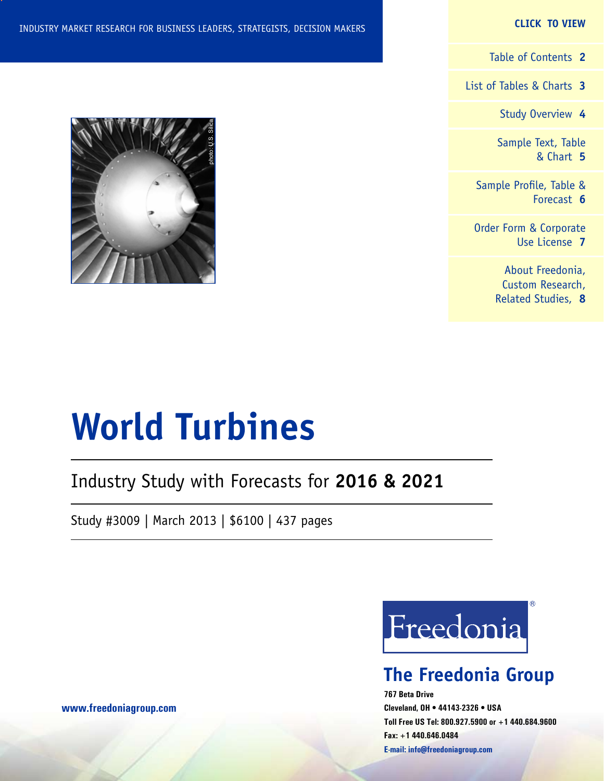#### **CLICK TO VIEW**

[Table of Contents](#page-1-0) **2**

[List of Tables & Charts](#page-2-0) **3**

[Study Overview](#page-3-0) **4**

[Sample Text, Table](#page-4-0) [& Chart](#page-4-0) **5**

[Sample Profile, Table &](#page-5-0) [Forecast](#page-5-0) **6**

[Order Form & Corporate](#page-6-0) [Use License](#page-6-0) **7**

> [About Freedonia,](#page-7-0) [Custom Research,](#page-7-0) [Related Studies,](#page-7-0) **8**



## Industry Study with Forecasts for **2016 & 2021**

Study #3009 | March 2013 | \$6100 | 437 pages



## **The Freedonia Group**

**767 Beta Drive Cleveland, OH • 44143-2326 • USA Toll Free US Tel: 800.927.5900 or +1 440.684.9600 Fax: +1 440.646.0484 E-mail: [info@freedoniagroup.com](mailto:info@freedoniagroup.com)**

**[www.freedoniagroup.com](http://www.freedoniagroup.com/Home.aspx?ReferrerId=FM-Bro)**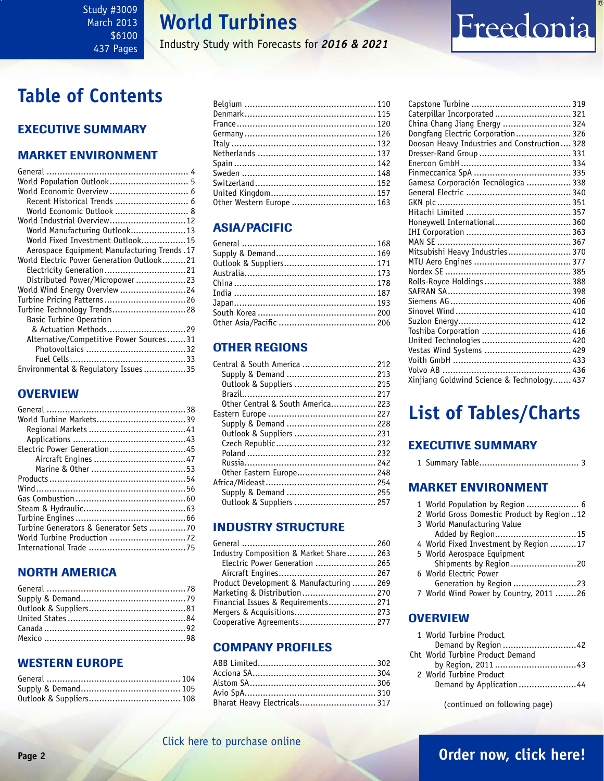### <span id="page-1-0"></span>Study #3009 March 2013 \$6100 437 Pages

## **World Turbines**

Industry Study with Forecasts for *2016 & 2021*

## **Table of Contents**

### Executive Summary

### Market EnvironmenT

| World Population Outlook 5                   |
|----------------------------------------------|
| World Economic Overview  6                   |
| Recent Historical Trends  6                  |
| World Economic Outlook  8                    |
| World Industrial Overview 12                 |
| World Manufacturing Outlook13                |
| World Fixed Investment Outlook15             |
| Aerospace Equipment Manufacturing Trends. 17 |
| World Electric Power Generation Outlook21    |
|                                              |
| Distributed Power/Micropower23               |
| World Wind Energy Overview 24                |
| Turbine Pricing Patterns26                   |
| Turbine Technology Trends28                  |
| <b>Basic Turbine Operation</b>               |
| & Actuation Methods29                        |
| Alternative/Competitive Power Sources 31     |
|                                              |
|                                              |
| Environmental & Regulatory Issues35          |

### **OVERVIEW**

| Electric Power Generation45           |  |
|---------------------------------------|--|
|                                       |  |
|                                       |  |
|                                       |  |
|                                       |  |
|                                       |  |
|                                       |  |
|                                       |  |
| Turbine Generators & Generator Sets70 |  |
|                                       |  |
|                                       |  |
|                                       |  |

### NORTH AMERICA

### WESTERN EUROPE

| Other Western Europe  163 |  |
|---------------------------|--|
|                           |  |

### ASIA/PACIFIC

### other regions

| Central & South America  212      |  |
|-----------------------------------|--|
| Supply & Demand  213              |  |
| Outlook & Suppliers  215          |  |
|                                   |  |
| Other Central & South America 223 |  |
|                                   |  |
|                                   |  |
| Outlook & Suppliers  231          |  |
|                                   |  |
|                                   |  |
|                                   |  |
| Other Eastern Europe 248          |  |
|                                   |  |
| Supply & Demand  255              |  |
| Outlook & Suppliers  257          |  |
|                                   |  |

### INDUSTRY STRUCTURE

| Industry Composition & Market Share 263  |  |
|------------------------------------------|--|
| Electric Power Generation  265           |  |
|                                          |  |
| Product Development & Manufacturing  269 |  |
| Marketing & Distribution  270            |  |
| Financial Issues & Requirements 271      |  |
| Mergers & Acquisitions 273               |  |
| Cooperative Agreements 277               |  |

### Company Profiles

| Bharat Heavy Electricals 317 |  |
|------------------------------|--|

| Caterpillar Incorporated  321                |  |
|----------------------------------------------|--|
| China Chang Jiang Energy  324                |  |
| Dongfang Electric Corporation 326            |  |
| Doosan Heavy Industries and Construction 328 |  |
|                                              |  |
|                                              |  |
|                                              |  |
| Gamesa Corporación Tecnólogica  338          |  |
|                                              |  |
|                                              |  |
|                                              |  |
| Honeywell International 360                  |  |
|                                              |  |
|                                              |  |
| Mitsubishi Heavy Industries 370              |  |
|                                              |  |
|                                              |  |
| Rolls-Royce Holdings  388                    |  |
|                                              |  |
|                                              |  |
|                                              |  |
|                                              |  |
|                                              |  |
|                                              |  |
| Vestas Wind Systems  429                     |  |
|                                              |  |
|                                              |  |

Freedonia

## **List of Tables/Charts**

Xinjiang Goldwind Science & Technology....... 437

### Executive Summary

|--|--|--|--|--|

### Market EnvironmenT

| 1 World Population by Region  6            |
|--------------------------------------------|
| 2 World Gross Domestic Product by Region12 |
| 3 World Manufacturing Value                |
| Added by Region15                          |
| 4 World Fixed Investment by Region 17      |
| 5 World Aerospace Equipment                |
| Shipments by Region20                      |
| 6 World Electric Power                     |
| Generation by Region 23                    |
| 7 World Wind Power by Country, 2011 26     |
|                                            |

### **OVERVIEW**

| 1 World Turbine Product          |
|----------------------------------|
| Demand by Region 42              |
| Cht World Turbine Product Demand |
|                                  |
| 2 World Turbine Product          |
| Demand by Application44          |
|                                  |

(continued on following page)

### [Click here to purchase online](http://www.freedoniagroup.com/DocumentDetails.aspx?Referrerid=FM-Bro&StudyID=3009)

### **Page 2 [Order now, click here!](#page-6-0)**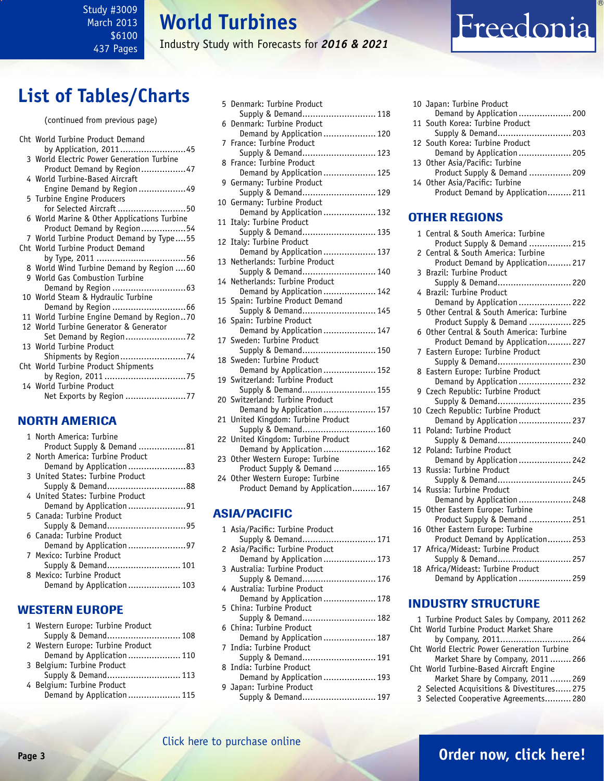### <span id="page-2-0"></span>Study #3009 March 2013 \$6100 437 Pages

## **World Turbines**

Industry Study with Forecasts for *2016 & 2021*

## **List of Tables/Charts**

| (continued from previous page)                                          |
|-------------------------------------------------------------------------|
| Cht World Turbine Product Demand                                        |
| by Application, 201145<br>3 World Electric Power Generation Turbine     |
| Product Demand by Region47<br>4 World Turbine-Based Aircraft            |
| Engine Demand by Region49                                               |
| 5 Turbine Engine Producers                                              |
| for Selected Aircraft 50<br>6 World Marine & Other Applications Turbine |
| Product Demand by Region54                                              |
| 7 World Turbine Product Demand by Type55                                |
| Cht World Turbine Product Demand                                        |
| 8 World Wind Turbine Demand by Region 60                                |
| 9 World Gas Combustion Turbine                                          |
|                                                                         |
| 10 World Steam & Hydraulic Turbine                                      |
| Demand by Region  66                                                    |
| 11 World Turbine Engine Demand by Region70                              |
| 12 World Turbine Generator & Generator                                  |
| 13 World Turbine Product                                                |
|                                                                         |
| Cht World Turbine Product Shipments                                     |
|                                                                         |
| 14 World Turbine Product                                                |
| Net Exports by Region 77                                                |

### NORTH AMERICA

| 1 North America: Turbine         |
|----------------------------------|
| Product Supply & Demand 81       |
| 2 North America: Turbine Product |
|                                  |
| 3 United States: Turbine Product |
| Supply & Demand88                |
| 4 United States: Turbine Product |
| Demand by Application91          |
| 5 Canada: Turbine Product        |
|                                  |
| 6 Canada: Turbine Product        |
|                                  |
| 7 Mexico: Turbine Product        |
|                                  |
| 8 Mexico: Turbine Product        |
| Demand by Application 103        |
|                                  |

### WESTERN EUROPE

| 1 Western Europe: Turbine Product |  |
|-----------------------------------|--|
| Supply & Demand 108               |  |
| 2 Western Europe: Turbine Product |  |
| Demand by Application 110         |  |
| 3 Belgium: Turbine Product        |  |
| Supply & Demand 113               |  |
| 4 Belgium: Turbine Product        |  |
| Demand by Application  115        |  |
|                                   |  |

| 5  | Denmark: Turbine Product                                      |
|----|---------------------------------------------------------------|
|    | Supply & Demand 118                                           |
| 6  | Denmark: Turbine Product<br>Demand by Application  120        |
| 7  | France: Turbine Product                                       |
|    | Supply & Demand 123                                           |
| 8  | France: Turbine Product                                       |
| 9  | Demand by Application  125<br>Germany: Turbine Product        |
|    | Supply & Demand 129                                           |
| 10 | Germany: Turbine Product                                      |
|    | Demand by Application  132                                    |
| 11 | Italy: Turbine Product<br>Supply & Demand 135                 |
| 12 | Italy: Turbine Product                                        |
|    | Demand by Application  137                                    |
| 13 | Netherlands: Turbine Product                                  |
|    | Supply & Demand 140                                           |
|    | 14 Netherlands: Turbine Product<br>Demand by Application  142 |
| 15 | Spain: Turbine Product Demand                                 |
|    | Supply & Demand 145                                           |
| 16 | Spain: Turbine Product                                        |
|    | Demand by Application  147                                    |
| 17 | Sweden: Turbine Product<br>Supply & Demand 150                |
|    | 18 Sweden: Turbine Product                                    |
|    | Demand by Application  152                                    |
| 19 | Switzerland: Turbine Product                                  |
| 20 | Supply & Demand 155<br>Switzerland: Turbine Product           |
|    | Demand by Application  157                                    |
| 21 | United Kingdom: Turbine Product                               |
|    | Supply & Demand 160                                           |
| 22 | United Kingdom: Turbine Product                               |
| 23 | Demand by Application  162<br>Other Western Europe: Turbine   |
|    | Product Supply & Demand  165                                  |
| 24 | Other Western Europe: Turbine                                 |
|    | Product Demand by Application 167                             |
|    |                                                               |
|    | <b>ASIA/PACIFIC</b>                                           |
|    |                                                               |

| 1 Asia/Pacific: Turbine Product |  |
|---------------------------------|--|
| Supply & Demand 171             |  |
| 2 Asia/Pacific: Turbine Product |  |
| Demand by Application  173      |  |
| 3 Australia: Turbine Product    |  |
| Supply & Demand 176             |  |
| 4 Australia: Turbine Product    |  |
| Demand by Application 178       |  |
| 5 China: Turbine Product        |  |
| Supply & Demand 182             |  |
| 6 China: Turbine Product        |  |
| Demand by Application  187      |  |
| 7 India: Turbine Product        |  |
| Supply & Demand 191             |  |
| 8 India: Turbine Product        |  |
| Demand by Application  193      |  |
| 9 Japan: Turbine Product        |  |
| Supply & Demand 197             |  |
|                                 |  |

|  | 10 Japan: Turbine Product         |  |
|--|-----------------------------------|--|
|  | Demand by Application 200         |  |
|  | 11 South Korea: Turbine Product   |  |
|  | Supply & Demand 203               |  |
|  | 12 South Korea: Turbine Product   |  |
|  |                                   |  |
|  | 13 Other Asia/Pacific: Turbine    |  |
|  | Product Supply & Demand  209      |  |
|  | 14 Other Asia/Pacific: Turbine    |  |
|  | Product Demand by Application 211 |  |
|  |                                   |  |

Freedonia

### OTHER REGIONS

|               | 1 Central & South America: Turbine     |
|---------------|----------------------------------------|
|               | Product Supply & Demand  215           |
| $\mathcal{P}$ | Central & South America: Turbine       |
|               | Product Demand by Application 217      |
| 3             | Brazil: Turbine Product                |
|               | Supply & Demand 220                    |
| 4             | Brazil: Turbine Product                |
|               | Demand by Application  222             |
| 5             | Other Central & South America: Turbine |
|               | Product Supply & Demand  225           |
| 6             | Other Central & South America: Turbine |
|               | Product Demand by Application 227      |
| 7             | Eastern Europe: Turbine Product        |
|               | Supply & Demand 230                    |
|               | 8 Eastern Europe: Turbine Product      |
|               | Demand by Application  232             |
|               | 9 Czech Republic: Turbine Product      |
|               | Supply & Demand 235                    |
|               | 10 Czech Republic: Turbine Product     |
|               | Demand by Application  237             |
| 11            | Poland: Turbine Product                |
|               | Supply & Demand 240                    |
| 12            | Poland: Turbine Product                |
|               | Demand by Application  242             |
| 13            | Russia: Turbine Product                |
|               | Supply & Demand 245                    |
| 14            | Russia: Turbine Product                |
|               | Demand by Application  248             |
| 15            | Other Eastern Europe: Turbine          |
|               | Product Supply & Demand  251           |
| 16            | Other Eastern Europe: Turbine          |
|               | Product Demand by Application 253      |
|               | 17 Africa/Mideast: Turbine Product     |
|               | Supply & Demand 257                    |
|               | 18 Africa/Mideast: Turbine Product     |
|               | Demand by Application  259             |

### INDUSTRY STRUCTURE

1 Turbine Product Sales by Company, 2011 262 Cht World Turbine Product Market Share by Company, 2011........................... 264 Cht World Electric Power Generation Turbine Market Share by Company, 2011 ........ 266 Cht World Turbine-Based Aircraft Engine Market Share by Company, 2011 ........ 269 2 Selected Acquisitions & Divestitures...... 275

3 Selected Cooperative Agreements.......... 280

### **Page 3 [Order now, click here!](#page-6-0)**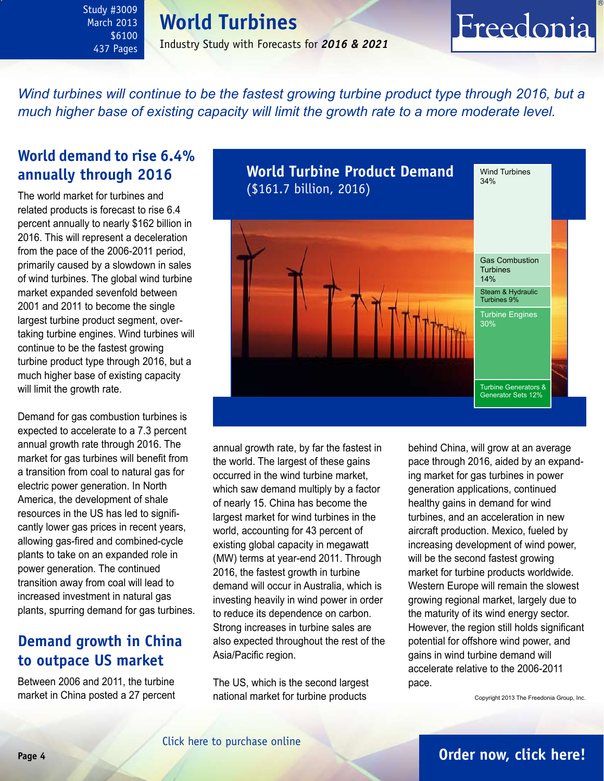### **World Turbines**

<span id="page-3-0"></span>Study #3009 March 2013 \$6100 437 Pages

Industry Study with Forecasts for *2016 & 2021*

### *Wind turbines will continue to be the fastest growing turbine product type through 2016, but a much higher base of existing capacity will limit the growth rate to a more moderate level.*

### **World demand to rise 6.4% annually through 2016**

The world market for turbines and related products is forecast to rise 6.4 percent annually to nearly \$162 billion in 2016. This will represent a deceleration from the pace of the 2006-2011 period, primarily caused by a slowdown in sales of wind turbines. The global wind turbine market expanded sevenfold between 2001 and 2011 to become the single largest turbine product segment, overtaking turbine engines. Wind turbines will continue to be the fastest growing turbine product type through 2016, but a much higher base of existing capacity will limit the growth rate.

Demand for gas combustion turbines is expected to accelerate to a 7.3 percent annual growth rate through 2016. The market for gas turbines will benefit from a transition from coal to natural gas for electric power generation. In North America, the development of shale resources in the US has led to significantly lower gas prices in recent years, allowing gas-fired and combined-cycle plants to take on an expanded role in power generation. The continued transition away from coal will lead to increased investment in natural gas plants, spurring demand for gas turbines.

### **Demand growth in China to outpace US market**

Between 2006 and 2011, the turbine market in China posted a 27 percent



annual growth rate, by far the fastest in the world. The largest of these gains occurred in the wind turbine market, which saw demand multiply by a factor of nearly 15. China has become the largest market for wind turbines in the world, accounting for 43 percent of existing global capacity in megawatt (MW) terms at year-end 2011. Through 2016, the fastest growth in turbine demand will occur in Australia, which is investing heavily in wind power in order to reduce its dependence on carbon. Strong increases in turbine sales are also expected throughout the rest of the Asia/Pacific region.

The US, which is the second largest national market for turbine products

behind China, will grow at an average pace through 2016, aided by an expanding market for gas turbines in power generation applications, continued healthy gains in demand for wind turbines, and an acceleration in new aircraft production. Mexico, fueled by increasing development of wind power, will be the second fastest growing market for turbine products worldwide. Western Europe will remain the slowest growing regional market, largely due to the maturity of its wind energy sector. However, the region still holds significant potential for offshore wind power, and gains in wind turbine demand will accelerate relative to the 2006-2011 pace.

Freedonia

Copyright 2013 The Freedonia Group, Inc.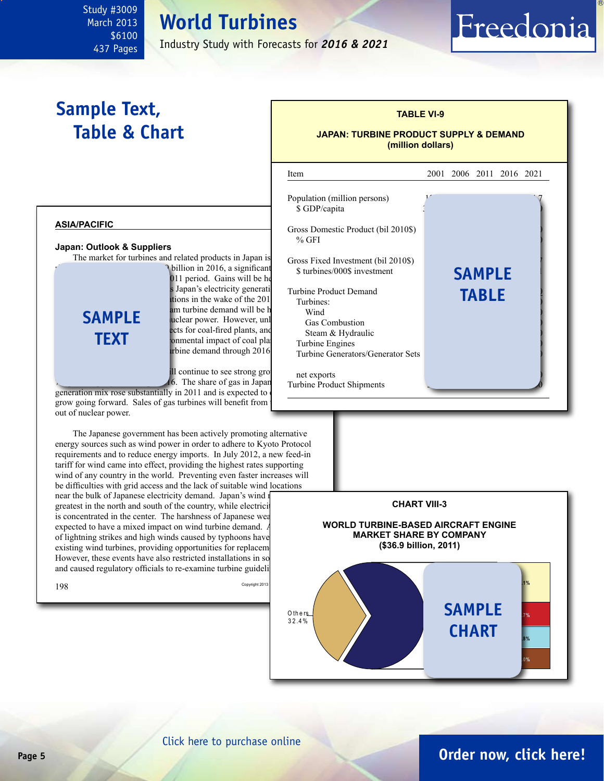## **World Turbines**

Industry Study with Forecasts for *2016 & 2021*

l

## **Sample Text, Table & Chart**

<span id="page-4-0"></span>Study #3009 March 2013 \$6100 437 Pages

### **TABLE VI-9**

Freedonia

#### **JAPAN: TURBINE PRODUCT SUPPLY & DEMAND (million dollars)**



 $198$  Copyright 2013

and caused regulatory officials to re-examine turbine guideli



### **Page 5 [Order now, click here!](#page-6-0)**

#### [Click here to purchase online](http://www.freedoniagroup.com/DocumentDetails.aspx?Referrerid=FM-Bro&StudyID=3009)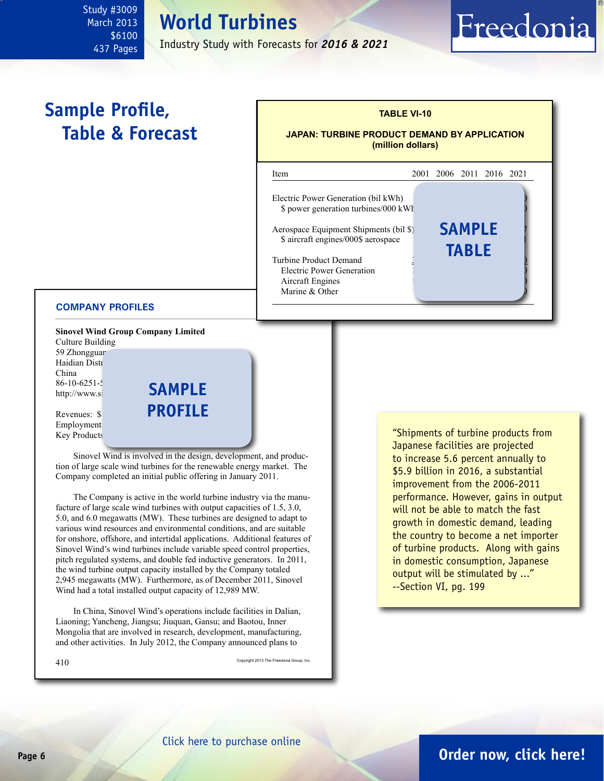### <span id="page-5-0"></span>Study #3009 March 2013 \$6100 437 Pages

## **World Turbines**

Industry Study with Forecasts for *2016 & 2021*

## **Sample Profile, Table & Forecast**



#### **COMPANY PROFILES**

**Sinovel Wind Group Company Limited**

Culture Building 59 Zhongguar Haidian Distr China  $86-10-6251-5$ http://www.si

Revenues: \$1. Employment: Key Products

Sinovel Wind is involved in the design, development, and production of large scale wind turbines for the renewable energy market. The Company completed an initial public offering in January 2011.

**sample**

**profile**

The Company is active in the world turbine industry via the manufacture of large scale wind turbines with output capacities of 1.5, 3.0, 5.0, and 6.0 megawatts (MW). These turbines are designed to adapt to various wind resources and environmental conditions, and are suitable for onshore, offshore, and intertidal applications. Additional features of Sinovel Wind's wind turbines include variable speed control properties, pitch regulated systems, and double fed inductive generators. In 2011, the wind turbine output capacity installed by the Company totaled 2,945 megawatts (MW). Furthermore, as of December 2011, Sinovel Wind had a total installed output capacity of 12,989 MW.

In China, Sinovel Wind's operations include facilities in Dalian, Liaoning; Yancheng, Jiangsu; Jiuquan, Gansu; and Baotou, Inner Mongolia that are involved in research, development, manufacturing, and other activities. In July 2012, the Company announced plans to

 $410 \,$  Copyright 2013 The Freedonia Group, Inc.

"Shipments of turbine products from Japanese facilities are projected to increase 5.6 percent annually to \$5.9 billion in 2016, a substantial improvement from the 2006-2011 performance. However, gains in output will not be able to match the fast growth in domestic demand, leading the country to become a net importer of turbine products. Along with gains in domestic consumption, Japanese output will be stimulated by ..." --Section VI, pg. 199

Freedonia

[Click here to purchase online](http://www.freedoniagroup.com/DocumentDetails.aspx?Referrerid=FM-Bro&StudyID=3009)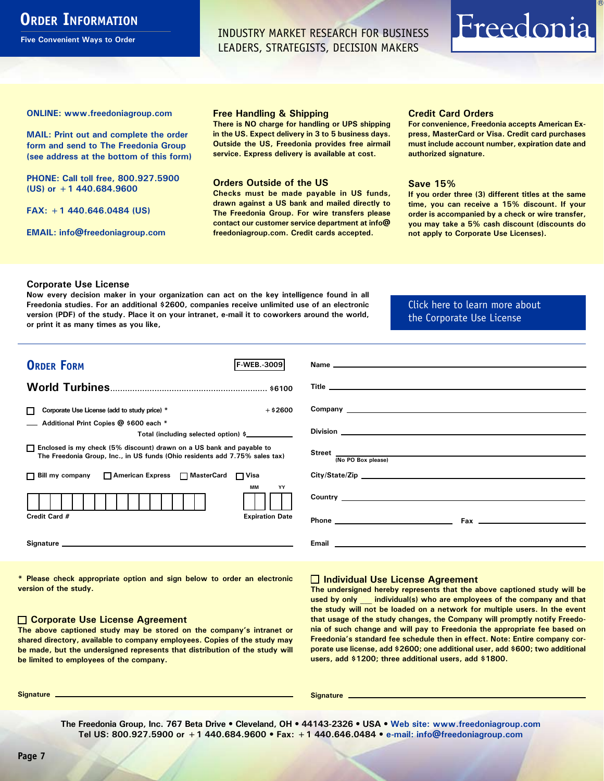### <span id="page-6-0"></span>**ORDER INFORMATION**

**Five Convenient Ways to Order**

INDUSTRY MARKET RESEARCH FOR BUSINESS LEADERS, STRATEGISTS, DECISION MAKERS

# Freedonia

**ONLINE: [www.freedoniagroup.com](http://www.freedoniagroup.com/DocumentDetails.aspx?Referrerid=FM-Bro&StudyID=3009)**

**MAIL: Print out and complete the order form and send to The Freedonia Group (see address at the bottom of this form)**

**PHONE: Call toll free, 800.927.5900 (US) or +1 440.684.9600**

**FAX: +1 440.646.0484 (US)**

**EMAIL: [info@freedoniagroup.com](mailto:info@freedoniagroup.com)**

#### **Free Handling & Shipping**

**There is NO charge for handling or UPS shipping in the US. Expect delivery in 3 to 5 business days. Outside the US, Freedonia provides free airmail service. Express delivery is available at cost.**

#### **Orders Outside of the US**

**Checks must be made payable in US funds, drawn against a US bank and mailed directly to The Freedonia Group. For wire transfers please contact our customer service department at info@ freedoniagroup.com. Credit cards accepted.**

#### **Credit Card Orders**

**For convenience, Freedonia accepts American Express, MasterCard or Visa. Credit card purchases must include account number, expiration date and authorized signature.**

#### **Save 15%**

**If you order three (3) different titles at the same time, you can receive a 15% discount. If your order is accompanied by a check or wire transfer, you may take a 5% cash discount (discounts do not apply to Corporate Use Licenses).**

#### **Corporate Use License**

**Now every decision maker in your organization can act on the key intelligence found in all Freedonia studies. For an additional \$2600, companies receive unlimited use of an electronic version (PDF) of the study. Place it on your intranet, e-mail it to coworkers around the world, or print it as many times as you like,** 

### [Click here to learn more about](http://www.freedoniagroup.com/pdf/FreedoniaCULBro.pdf)  [the Corporate Use License](http://www.freedoniagroup.com/pdf/FreedoniaCULBro.pdf)

| <b>ORDER FORM</b><br><b>F-WEB.</b> 3009                                                                                                                                                                                        |                           |
|--------------------------------------------------------------------------------------------------------------------------------------------------------------------------------------------------------------------------------|---------------------------|
|                                                                                                                                                                                                                                |                           |
|                                                                                                                                                                                                                                |                           |
|                                                                                                                                                                                                                                |                           |
| $+$ \$2600<br>Corporate Use License (add to study price) *                                                                                                                                                                     |                           |
| Additional Print Copies @ \$600 each *                                                                                                                                                                                         |                           |
| Total (including selected option) \$                                                                                                                                                                                           |                           |
| □ Enclosed is my check (5% discount) drawn on a US bank and payable to<br>The Freedonia Group, Inc., in US funds (Ohio residents add 7.75% sales tax)                                                                          | Street  No PO Box please) |
|                                                                                                                                                                                                                                |                           |
| □ Bill my company □ American Express □ MasterCard □ Visa                                                                                                                                                                       |                           |
| <b>MM</b><br>YY                                                                                                                                                                                                                |                           |
|                                                                                                                                                                                                                                |                           |
| Credit Card #<br><b>Expiration Date</b>                                                                                                                                                                                        |                           |
| Signature experience and the state of the state of the state of the state of the state of the state of the state of the state of the state of the state of the state of the state of the state of the state of the state of th |                           |
|                                                                                                                                                                                                                                |                           |

**\* Please check appropriate option and sign below to order an electronic version of the study.**

#### **Corporate Use License Agreement**

**The above captioned study may be stored on the company's intranet or shared directory, available to company employees. Copies of the study may be made, but the undersigned represents that distribution of the study will be limited to employees of the company.**

#### **Individual Use License Agreement**

**The undersigned hereby represents that the above captioned study will be used by only \_\_\_ individual(s) who are employees of the company and that the study will not be loaded on a network for multiple users. In the event that usage of the study changes, the Company will promptly notify Freedonia of such change and will pay to Freedonia the appropriate fee based on Freedonia's standard fee schedule then in effect. Note: Entire company corporate use license, add \$2600; one additional user, add \$600; two additional users, add \$1200; three additional users, add \$1800.**

**Signature Signature**

**The Freedonia Group, Inc. 767 Beta Drive • Cleveland, OH • 44143-2326 • USA • [Web site: www.freedoniagroup.com](http://www.freedoniagroup.com/Home.aspx?ReferrerId=FM-Bro) Tel US: 800.927.5900 or +1 440.684.9600 • Fax: +1 440.646.0484 • [e-mail: info@freedoniagroup.com](mailto:info@freedoniagroup.com)**